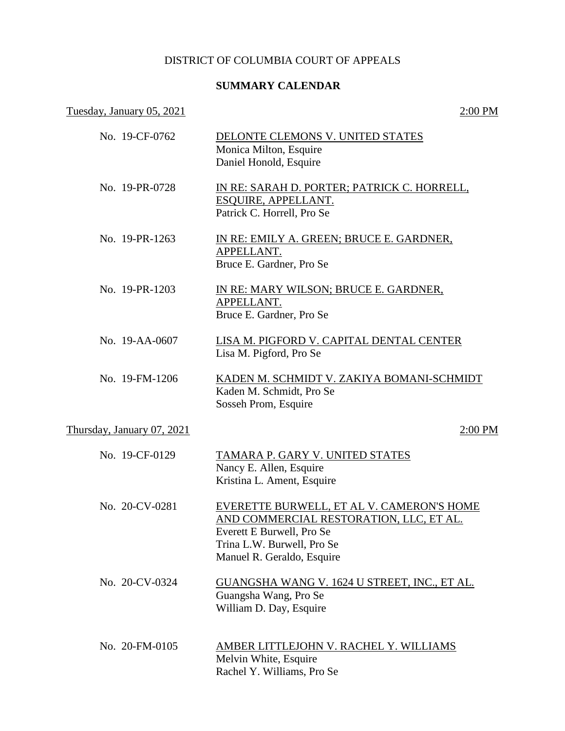# DISTRICT OF COLUMBIA COURT OF APPEALS

# **SUMMARY CALENDAR**

### Tuesday, January 05, 2021 2:00 PM

| No. 19-CF-0762             | DELONTE CLEMONS V. UNITED STATES<br>Monica Milton, Esquire<br>Daniel Honold, Esquire                                                                                          |
|----------------------------|-------------------------------------------------------------------------------------------------------------------------------------------------------------------------------|
| No. 19-PR-0728             | IN RE: SARAH D. PORTER; PATRICK C. HORRELL,<br>ESQUIRE, APPELLANT.<br>Patrick C. Horrell, Pro Se                                                                              |
| No. 19-PR-1263             | IN RE: EMILY A. GREEN; BRUCE E. GARDNER,<br>APPELLANT.<br>Bruce E. Gardner, Pro Se                                                                                            |
| No. 19-PR-1203             | IN RE: MARY WILSON; BRUCE E. GARDNER,<br>APPELLANT.<br>Bruce E. Gardner, Pro Se                                                                                               |
| No. 19-AA-0607             | LISA M. PIGFORD V. CAPITAL DENTAL CENTER<br>Lisa M. Pigford, Pro Se                                                                                                           |
| No. 19-FM-1206             | KADEN M. SCHMIDT V. ZAKIYA BOMANI-SCHMIDT<br>Kaden M. Schmidt, Pro Se<br>Sosseh Prom, Esquire                                                                                 |
| Thursday, January 07, 2021 | 2:00 PM                                                                                                                                                                       |
| No. 19-CF-0129             | TAMARA P. GARY V. UNITED STATES<br>Nancy E. Allen, Esquire<br>Kristina L. Ament, Esquire                                                                                      |
| No. 20-CV-0281             | EVERETTE BURWELL, ET AL V. CAMERON'S HOME<br>AND COMMERCIAL RESTORATION, LLC, ET AL.<br>Everett E Burwell, Pro Se<br>Trina L.W. Burwell, Pro Se<br>Manuel R. Geraldo, Esquire |
| No. 20-CV-0324             | <u>GUANGSHA WANG V. 1624 U STREET, INC., ET AL.</u><br>Guangsha Wang, Pro Se<br>William D. Day, Esquire                                                                       |
| No. 20-FM-0105             | <u>AMBER LITTLEJOHN V. RACHEL Y. WILLIAMS</u><br>Melvin White, Esquire<br>Rachel Y. Williams, Pro Se                                                                          |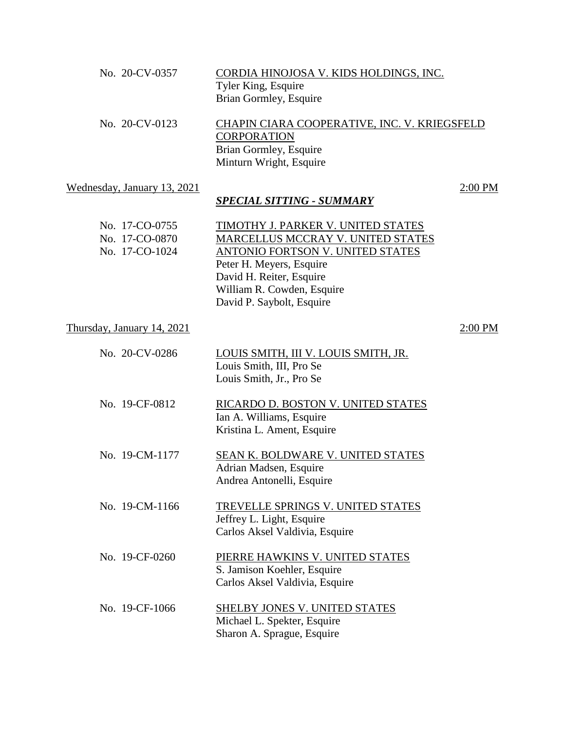| No. 20-CV-0357                                     | CORDIA HINOJOSA V. KIDS HOLDINGS, INC.<br>Tyler King, Esquire<br>Brian Gormley, Esquire                                                                                                                                               |  |
|----------------------------------------------------|---------------------------------------------------------------------------------------------------------------------------------------------------------------------------------------------------------------------------------------|--|
| No. 20-CV-0123                                     | CHAPIN CIARA COOPERATIVE, INC. V. KRIEGSFELD<br><b>CORPORATION</b><br>Brian Gormley, Esquire<br>Minturn Wright, Esquire                                                                                                               |  |
| Wednesday, January 13, 2021                        | 2:00 PM<br><b>SPECIAL SITTING - SUMMARY</b>                                                                                                                                                                                           |  |
| No. 17-CO-0755<br>No. 17-CO-0870<br>No. 17-CO-1024 | <b>TIMOTHY J. PARKER V. UNITED STATES</b><br>MARCELLUS MCCRAY V. UNITED STATES<br>ANTONIO FORTSON V. UNITED STATES<br>Peter H. Meyers, Esquire<br>David H. Reiter, Esquire<br>William R. Cowden, Esquire<br>David P. Saybolt, Esquire |  |
| Thursday, January 14, 2021                         | $2:00$ PM                                                                                                                                                                                                                             |  |
| No. 20-CV-0286                                     | LOUIS SMITH, III V. LOUIS SMITH, JR.<br>Louis Smith, III, Pro Se<br>Louis Smith, Jr., Pro Se                                                                                                                                          |  |
| No. 19-CF-0812                                     | RICARDO D. BOSTON V. UNITED STATES<br>Ian A. Williams, Esquire<br>Kristina L. Ament, Esquire                                                                                                                                          |  |
| No. 19-CM-1177                                     | <b>SEAN K. BOLDWARE V. UNITED STATES</b><br>Adrian Madsen, Esquire<br>Andrea Antonelli, Esquire                                                                                                                                       |  |
| No. 19-CM-1166                                     | TREVELLE SPRINGS V. UNITED STATES<br>Jeffrey L. Light, Esquire<br>Carlos Aksel Valdivia, Esquire                                                                                                                                      |  |
| No. 19-CF-0260                                     | PIERRE HAWKINS V. UNITED STATES<br>S. Jamison Koehler, Esquire<br>Carlos Aksel Valdivia, Esquire                                                                                                                                      |  |
| No. 19-CF-1066                                     | <b>SHELBY JONES V. UNITED STATES</b><br>Michael L. Spekter, Esquire<br>Sharon A. Sprague, Esquire                                                                                                                                     |  |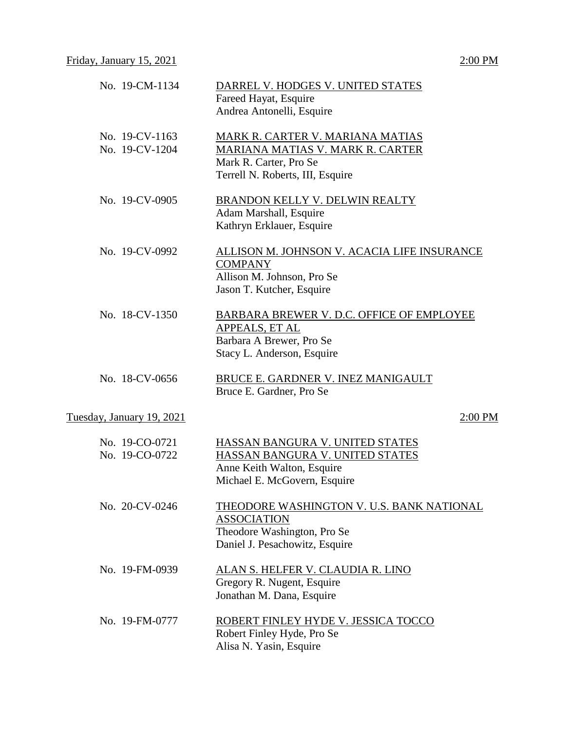| No. 19-CM-1134                   | DARREL V. HODGES V. UNITED STATES<br>Fareed Hayat, Esquire<br>Andrea Antonelli, Esquire                                            |
|----------------------------------|------------------------------------------------------------------------------------------------------------------------------------|
| No. 19-CV-1163<br>No. 19-CV-1204 | MARK R. CARTER V. MARIANA MATIAS<br>MARIANA MATIAS V. MARK R. CARTER<br>Mark R. Carter, Pro Se<br>Terrell N. Roberts, III, Esquire |
| No. 19-CV-0905                   | BRANDON KELLY V. DELWIN REALTY<br>Adam Marshall, Esquire<br>Kathryn Erklauer, Esquire                                              |
| No. 19-CV-0992                   | ALLISON M. JOHNSON V. ACACIA LIFE INSURANCE<br><b>COMPANY</b><br>Allison M. Johnson, Pro Se<br>Jason T. Kutcher, Esquire           |
| No. 18-CV-1350                   | <b>BARBARA BREWER V. D.C. OFFICE OF EMPLOYEE</b><br>APPEALS, ET AL<br>Barbara A Brewer, Pro Se<br>Stacy L. Anderson, Esquire       |
| No. 18-CV-0656                   | BRUCE E. GARDNER V. INEZ MANIGAULT<br>Bruce E. Gardner, Pro Se                                                                     |
| Tuesday, January 19, 2021        | $2:00$ PM                                                                                                                          |
| No. 19-CO-0721<br>No. 19-CO-0722 | HASSAN BANGURA V. UNITED STATES<br>HASSAN BANGURA V. UNITED STATES<br>Anne Keith Walton, Esquire<br>Michael E. McGovern, Esquire   |
| No. 20-CV-0246                   | THEODORE WASHINGTON V. U.S. BANK NATIONAL<br><b>ASSOCIATION</b><br>Theodore Washington, Pro Se<br>Daniel J. Pesachowitz, Esquire   |
| No. 19-FM-0939                   | ALAN S. HELFER V. CLAUDIA R. LINO<br>Gregory R. Nugent, Esquire<br>Jonathan M. Dana, Esquire                                       |
| No. 19-FM-0777                   | ROBERT FINLEY HYDE V. JESSICA TOCCO<br>Robert Finley Hyde, Pro Se<br>Alisa N. Yasin, Esquire                                       |